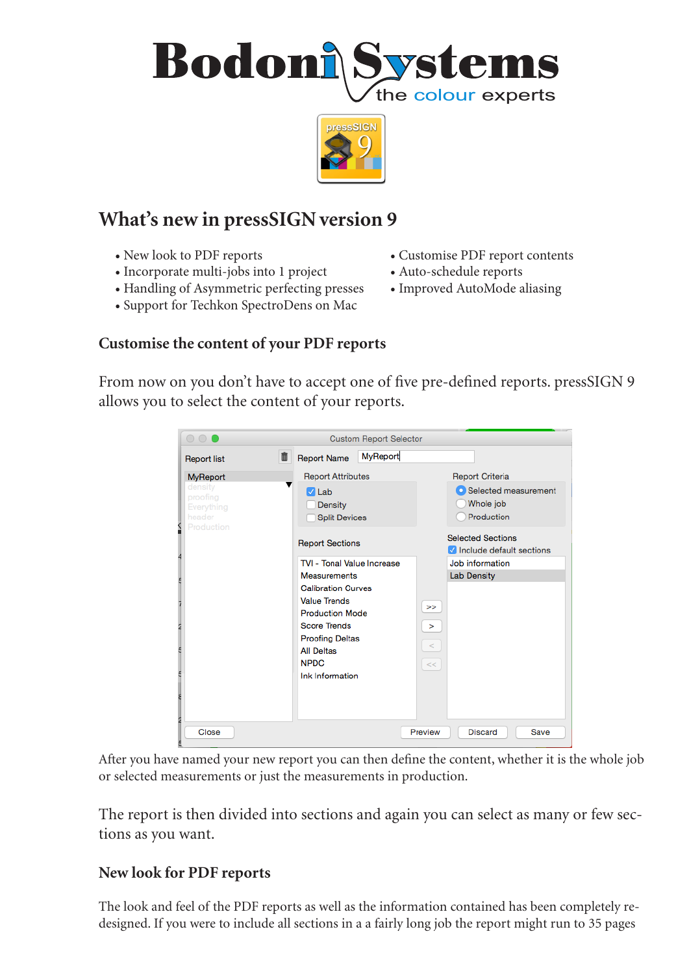



# **What's new in pressSIGN version 9**

- 
- Incorporate multi-jobs into 1 project Auto-schedule reports
- Handling of Asymmetric perfecting presses Improved AutoMode aliasing
- Support for Techkon SpectroDens on Mac
- New look to PDF reports Customise PDF report contents
	-
	-

## **Customise the content of your PDF reports**

From now on you don't have to accept one of five pre-defined reports. pressSIGN 9 allows you to select the content of your reports.

| $\circ$ $\circ$ $\bullet$                                 | <b>Custom Report Selector</b>                                                                                                                                                                             |                                                      |  |  |  |  |
|-----------------------------------------------------------|-----------------------------------------------------------------------------------------------------------------------------------------------------------------------------------------------------------|------------------------------------------------------|--|--|--|--|
| <b>Report list</b>                                        | <b>MyReport</b><br>面<br><b>Report Name</b>                                                                                                                                                                |                                                      |  |  |  |  |
| <b>MyReport</b>                                           | <b>Report Attributes</b>                                                                                                                                                                                  | <b>Report Criteria</b>                               |  |  |  |  |
| density<br>proofing<br>Everything<br>header<br>Production | $\sqrt{Lab}$<br>Density<br><b>Split Devices</b>                                                                                                                                                           | Selected measurement<br>Whole job<br>Production      |  |  |  |  |
|                                                           | <b>Report Sections</b>                                                                                                                                                                                    | <b>Selected Sections</b><br>Include default sections |  |  |  |  |
|                                                           | TVI - Tonal Value Increase                                                                                                                                                                                | Job information                                      |  |  |  |  |
| 2                                                         | <b>Measurements</b><br><b>Calibration Curves</b><br><b>Value Trends</b><br><b>Production Mode</b><br><b>Score Trends</b><br><b>Proofing Deltas</b><br><b>All Deltas</b><br><b>NPDC</b><br>Ink Information | <b>Lab Density</b><br>><br>><br>$\,<\,$<br><<        |  |  |  |  |
| Close                                                     |                                                                                                                                                                                                           | <b>Discard</b><br>Save<br>Preview                    |  |  |  |  |

After you have named your new report you can then define the content, whether it is the whole job or selected measurements or just the measurements in production.

The report is then divided into sections and again you can select as many or few sections as you want.

## **New look for PDF reports**

The look and feel of the PDF reports as well as the information contained has been completely redesigned. If you were to include all sections in a a fairly long job the report might run to 35 pages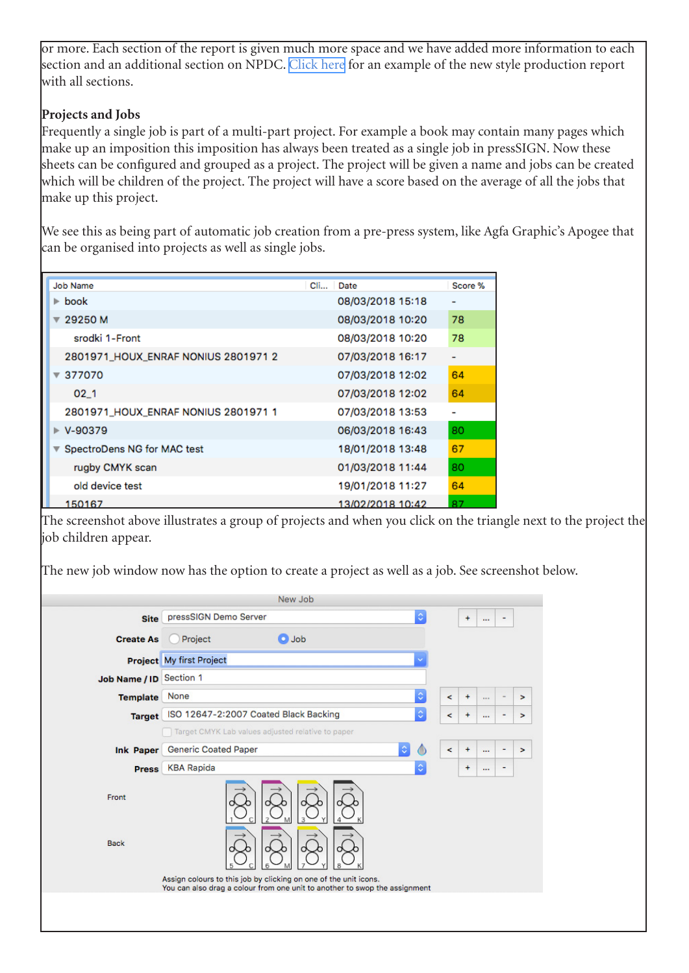or more. Each section of the report is given much more space and we have added more information to each section and an additional section on NPDC. [Click here](http://www.bodoni.co.uk/pdfs/Example_pS9_Report.pdf) for an example of the new style production report with all sections.

### **Projects and Jobs**

Frequently a single job is part of a multi-part project. For example a book may contain many pages which make up an imposition this imposition has always been treated as a single job in pressSIGN. Now these sheets can be configured and grouped as a project. The project will be given a name and jobs can be created which will be children of the project. The project will have a score based on the average of all the jobs that make up this project.

We see this as being part of automatic job creation from a pre-press system, like Agfa Graphic's Apogee that can be organised into projects as well as single jobs.

| Job Name                            | Date<br>$Cl_{1}$ | Score %        |
|-------------------------------------|------------------|----------------|
| $\blacktriangleright$ book          | 08/03/2018 15:18 |                |
| 29250 M                             | 08/03/2018 10:20 | 78             |
| srodki 1-Front                      | 08/03/2018 10:20 | 78             |
| 2801971_HOUX_ENRAF NONIUS 2801971 2 | 07/03/2018 16:17 | $\overline{a}$ |
| 377070                              | 07/03/2018 12:02 | 64             |
| 02 <sub>1</sub>                     | 07/03/2018 12:02 | 64             |
| 2801971_HOUX_ENRAF NONIUS 2801971 1 | 07/03/2018 13:53 | -              |
| $\triangleright$ V-90379            | 06/03/2018 16:43 | 80             |
| SpectroDens NG for MAC test         | 18/01/2018 13:48 | 67             |
| rugby CMYK scan                     | 01/03/2018 11:44 | 80             |
| old device test                     | 19/01/2018 11:27 | 64             |
| 150167                              | 13/02/2018 10:42 | 87             |

The screenshot above illustrates a group of projects and when you click on the triangle next to the project the job children appear.

The new job window now has the option to create a project as well as a job. See screenshot below.

|                         |                                                                  | New Job                                                                    |            |                          |           |          |               |        |
|-------------------------|------------------------------------------------------------------|----------------------------------------------------------------------------|------------|--------------------------|-----------|----------|---------------|--------|
| <b>Site</b>             | pressSIGN Demo Server                                            |                                                                            | $\Diamond$ |                          | ÷         | $\cdots$ | ٠             |        |
| <b>Create As</b>        | Project                                                          | <b>O</b> Job                                                               |            |                          |           |          |               |        |
|                         | Project My first Project                                         |                                                                            |            |                          |           |          |               |        |
| Job Name / ID Section 1 |                                                                  |                                                                            |            |                          |           |          |               |        |
| <b>Template</b>         | None                                                             |                                                                            | ¢          | $\prec$                  | $\ddot{}$ | 1.11     | $\frac{1}{2}$ | $\geq$ |
| <b>Target</b>           | ISO 12647-2:2007 Coated Black Backing                            |                                                                            | ¢          | $\overline{\phantom{a}}$ | $\ddot{}$ | $\cdots$ | ۰             | >      |
|                         | Target CMYK Lab values adjusted relative to paper                |                                                                            |            |                          |           |          |               |        |
| <b>Ink Paper</b>        | <b>Generic Coated Paper</b>                                      |                                                                            | $\Diamond$ | $\prec$                  | $\ddot{}$ | $\cdots$ | ٠             | $\geq$ |
| <b>Press</b>            | <b>KBA Rapida</b>                                                |                                                                            | ¢          |                          | $\ddot{}$ | $\cdots$ | ٠             |        |
| Front                   |                                                                  | M                                                                          |            |                          |           |          |               |        |
| <b>Back</b>             |                                                                  |                                                                            |            |                          |           |          |               |        |
|                         | Assign colours to this job by clicking on one of the unit icons. | You can also drag a colour from one unit to another to swop the assignment |            |                          |           |          |               |        |
|                         |                                                                  |                                                                            |            |                          |           |          |               |        |
|                         |                                                                  |                                                                            |            |                          |           |          |               |        |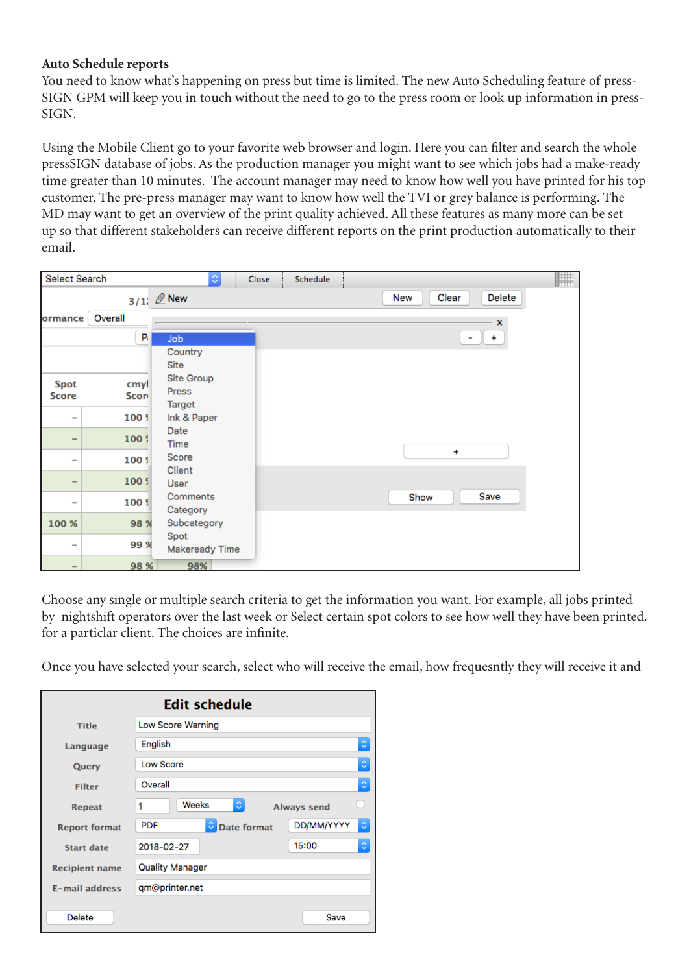#### **Auto Schedule reports**

You need to know what's happening on press but time is limited. The new Auto Scheduling feature of press-SIGN GPM will keep you in touch without the need to go to the press room or look up information in press-SIGN.

Using the Mobile Client go to your favorite web browser and login. Here you can filter and search the whole pressSIGN database of jobs. As the production manager you might want to see which jobs had a make-ready time greater than 10 minutes. The account manager may need to know how well you have printed for his top customer. The pre-press manager may want to know how well the TVI or grey balance is performing. The MD may want to get an overview of the print quality achieved. All these features as many more can be set up so that different stakeholders can receive different reports on the print production automatically to their email.

| <b>Select Search</b>         |                      | $ \hat{\mathbf{v}} $<br>Close        | Schedule | F                      |
|------------------------------|----------------------|--------------------------------------|----------|------------------------|
|                              |                      | $3/1$ ; $\mathbb{Z}$ New             |          | Delete<br>Clear<br>New |
| ormance                      | Overall              |                                      |          | $\mathbf{x}$           |
|                              | P.                   | Job                                  |          | $\ddot{}$<br>٠         |
|                              |                      | Country<br>Site                      |          |                        |
| Spot<br><b>Score</b>         | cmyl<br><b>Score</b> | Site Group<br>Press<br><b>Target</b> |          |                        |
| $\overline{\phantom{a}}$     | 100 \$               | Ink & Paper                          |          |                        |
| $\qquad \qquad \blacksquare$ | 100 \$               | Date<br>Time                         |          |                        |
| $\qquad \qquad \blacksquare$ | 100 \$               | Score                                |          | $\ddot{}$              |
| $\qquad \qquad \blacksquare$ | 100 S                | Client<br>User                       |          |                        |
| $\qquad \qquad \blacksquare$ | 100 \$               | Comments<br>Category                 |          | Save<br>Show           |
| 100 %                        | 98 %                 | Subcategory                          |          |                        |
| $\overline{\phantom{a}}$     | 99 %                 | Spot<br>Makeready Time               |          |                        |
| $\qquad \qquad$              | 98 %                 | 98%                                  |          |                        |

Choose any single or multiple search criteria to get the information you want. For example, all jobs printed by nightshift operators over the last week or Select certain spot colors to see how well they have been printed. for a particlar client. The choices are infinite.

Once you have selected your search, select who will receive the email, how frequesntly they will receive it and

| <b>Edit schedule</b>  |                                                          |  |  |  |  |
|-----------------------|----------------------------------------------------------|--|--|--|--|
| <b>Title</b>          | Low Score Warning                                        |  |  |  |  |
| Language              | ¢<br>English                                             |  |  |  |  |
| Query                 | ़<br><b>Low Score</b>                                    |  |  |  |  |
| <b>Filter</b>         | ٥<br>Overall                                             |  |  |  |  |
| <b>Repeat</b>         | Weeks<br>¢.<br>1<br><b>Always send</b>                   |  |  |  |  |
| <b>Report format</b>  | ¢<br>DD/MM/YYYY<br><b>PDF</b><br>٥<br><b>Date format</b> |  |  |  |  |
| <b>Start date</b>     | ¢<br>15:00<br>2018-02-27                                 |  |  |  |  |
| <b>Recipient name</b> | <b>Quality Manager</b>                                   |  |  |  |  |
| <b>E-mail address</b> | qm@printer.net                                           |  |  |  |  |
| <b>Delete</b>         | Save                                                     |  |  |  |  |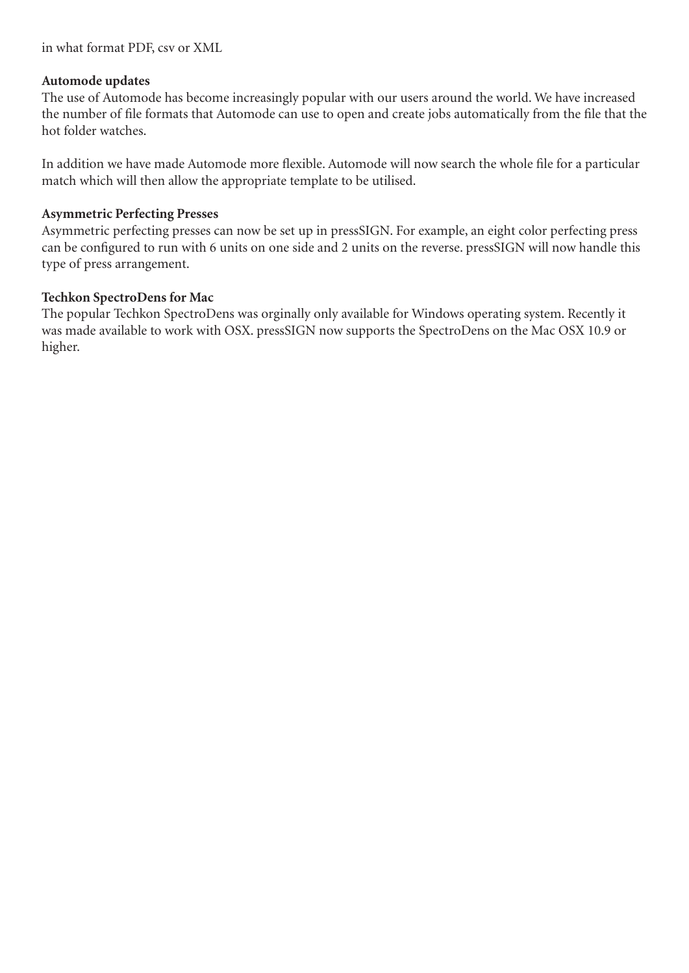in what format PDF, csv or XML

#### **Automode updates**

The use of Automode has become increasingly popular with our users around the world. We have increased the number of file formats that Automode can use to open and create jobs automatically from the file that the hot folder watches.

In addition we have made Automode more flexible. Automode will now search the whole file for a particular match which will then allow the appropriate template to be utilised.

#### **Asymmetric Perfecting Presses**

Asymmetric perfecting presses can now be set up in pressSIGN. For example, an eight color perfecting press can be configured to run with 6 units on one side and 2 units on the reverse. pressSIGN will now handle this type of press arrangement.

#### **Techkon SpectroDens for Mac**

The popular Techkon SpectroDens was orginally only available for Windows operating system. Recently it was made available to work with OSX. pressSIGN now supports the SpectroDens on the Mac OSX 10.9 or higher.